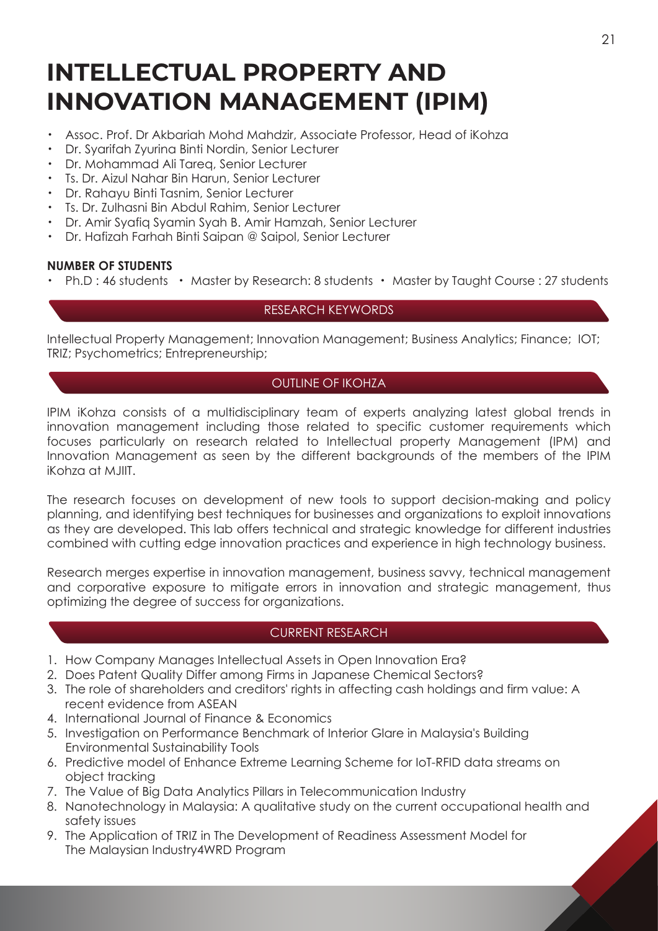# **INTELLECTUAL PROPERTY AND INNOVATION MANAGEMENT (IPIM)**

- ・ Assoc. Prof. Dr Akbariah Mohd Mahdzir, Associate Professor, Head of iKohza
- Dr. Syarifah Zyurina Binti Nordin, Senior Lecturer
- ・ Dr. Mohammad Ali Tareq, Senior Lecturer
- ・ Ts. Dr. Aizul Nahar Bin Harun, Senior Lecturer
- ・ Dr. Rahayu Binti Tasnim, Senior Lecturer
- ・ Ts. Dr. Zulhasni Bin Abdul Rahim, Senior Lecturer
- ・ Dr. Amir Syafiq Syamin Syah B. Amir Hamzah, Senior Lecturer
- ・ Dr. Hafizah Farhah Binti Saipan @ Saipol, Senior Lecturer

## **NUMBER OF STUDENTS**

Ph.D : 46 students • Master by Research: 8 students • Master by Taught Course : 27 students

## RESEARCH KEYWORDS

Intellectual Property Management; Innovation Management; Business Analytics; Finance; IOT; TRIZ; Psychometrics; Entrepreneurship;

## OUTLINE OF IKOHZA

IPIM iKohza consists of a multidisciplinary team of experts analyzing latest global trends in innovation management including those related to specific customer requirements which focuses particularly on research related to Intellectual property Management (IPM) and Innovation Management as seen by the different backgrounds of the members of the IPIM iKohza at MJIIT.

The research focuses on development of new tools to support decision-making and policy planning, and identifying best techniques for businesses and organizations to exploit innovations as they are developed. This lab offers technical and strategic knowledge for different industries combined with cutting edge innovation practices and experience in high technology business.

Research merges expertise in innovation management, business savvy, technical management and corporative exposure to mitigate errors in innovation and strategic management, thus optimizing the degree of success for organizations.

## CURRENT RESEARCH

- 1. How Company Manages Intellectual Assets in Open Innovation Era?
- 2. Does Patent Quality Differ among Firms in Japanese Chemical Sectors?
- 3. The role of shareholders and creditors' rights in affecting cash holdings and firm value: A recent evidence from ASEAN
- 4. International Journal of Finance & Economics
- 5. Investigation on Performance Benchmark of Interior Glare in Malaysia's Building Environmental Sustainability Tools
- 6. Predictive model of Enhance Extreme Learning Scheme for IoT-RFID data streams on object tracking
- 7. The Value of Big Data Analytics Pillars in Telecommunication Industry
- 8. Nanotechnology in Malaysia: A qualitative study on the current occupational health and safety issues
- 9. The Application of TRIZ in The Development of Readiness Assessment Model for The Malaysian Industry4WRD Program